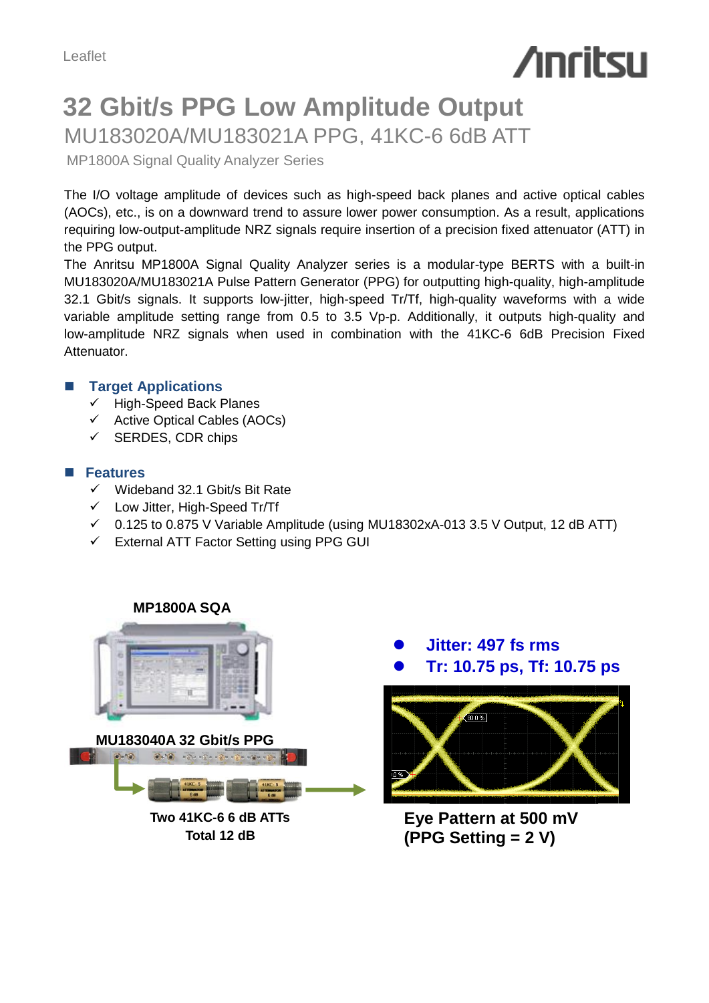# **Anritsu**

# **32 Gbit/s PPG Low Amplitude Output** MU183020A/MU183021A PPG, 41KC-6 6dB ATT

MP1800A Signal Quality Analyzer Series

The I/O voltage amplitude of devices such as high-speed back planes and active optical cables (AOCs), etc., is on a downward trend to assure lower power consumption. As a result, applications requiring low-output-amplitude NRZ signals require insertion of a precision fixed attenuator (ATT) in the PPG output.

The Anritsu MP1800A Signal Quality Analyzer series is a modular-type BERTS with a built-in MU183020A/MU183021A Pulse Pattern Generator (PPG) for outputting high-quality, high-amplitude 32.1 Gbit/s signals. It supports low-jitter, high-speed Tr/Tf, high-quality waveforms with a wide variable amplitude setting range from 0.5 to 3.5 Vp-p. Additionally, it outputs high-quality and low-amplitude NRZ signals when used in combination with the 41KC-6 6dB Precision Fixed Attenuator.

# **Target Applications**

- High-Speed Back Planes
- Active Optical Cables (AOCs)
- $\checkmark$  SERDES, CDR chips

## **Features**

- $\checkmark$  Wideband 32.1 Gbit/s Bit Rate
- Low Jitter, High-Speed Tr/Tf
- $\checkmark$  0.125 to 0.875 V Variable Amplitude (using MU18302xA-013 3.5 V Output, 12 dB ATT)
- $\checkmark$  External ATT Factor Setting using PPG GUI

#### **MP1800A SQA**



**Two 41KC-6 6 dB ATTs Total 12 dB**



**Eye Pattern at 500 mV (PPG Setting = 2 V)**